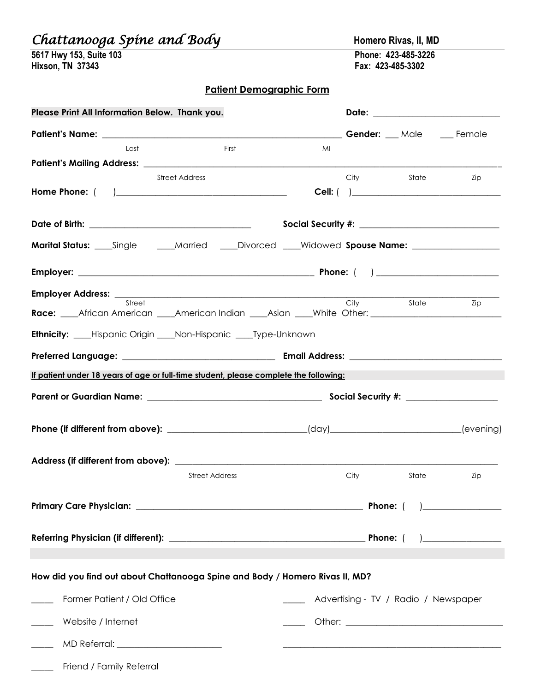## *Chattanooga Spine and Body* **Homero Rivas, II, MD**

| 5617 Hwy 153, Suite 103 |  |  |
|-------------------------|--|--|
| Hixson, TN 37343        |  |  |

**5617 Hwy 153, Suite 103 Phone: 423-485-3226 Hixson, TN 37343 Fax: 423-485-3302**

## **Patient Demographic Form**

| Please Print All Information Below. Thank you.                                                                                                                                                                                |                       |                                                                                                                      |                                                                                                                                                                                                                                |                                      |                                              |
|-------------------------------------------------------------------------------------------------------------------------------------------------------------------------------------------------------------------------------|-----------------------|----------------------------------------------------------------------------------------------------------------------|--------------------------------------------------------------------------------------------------------------------------------------------------------------------------------------------------------------------------------|--------------------------------------|----------------------------------------------|
| Patient's Name: Fernale Contract Contract Contract Contract Contract Contract Contract Contract Contract Contract Contract Contract Contract Contract Contract Contract Contract Contract Contract Contract Contract Contract |                       |                                                                                                                      |                                                                                                                                                                                                                                |                                      |                                              |
| Last                                                                                                                                                                                                                          | First                 | MI                                                                                                                   |                                                                                                                                                                                                                                |                                      |                                              |
|                                                                                                                                                                                                                               |                       |                                                                                                                      |                                                                                                                                                                                                                                |                                      |                                              |
|                                                                                                                                                                                                                               | <b>Street Address</b> |                                                                                                                      | City                                                                                                                                                                                                                           | State                                | Zip                                          |
|                                                                                                                                                                                                                               |                       |                                                                                                                      |                                                                                                                                                                                                                                |                                      |                                              |
|                                                                                                                                                                                                                               |                       |                                                                                                                      |                                                                                                                                                                                                                                |                                      |                                              |
| <b>Marital Status:</b> ____Single ______Married ____Divorced ____Widowed Spouse Name: ___________________                                                                                                                     |                       |                                                                                                                      |                                                                                                                                                                                                                                |                                      |                                              |
|                                                                                                                                                                                                                               |                       |                                                                                                                      |                                                                                                                                                                                                                                |                                      |                                              |
| Street                                                                                                                                                                                                                        |                       |                                                                                                                      | City                                                                                                                                                                                                                           | State                                | Zip                                          |
| Race: African American American Indian Asian Albert: American Denter Andrew Motor:                                                                                                                                            |                       |                                                                                                                      |                                                                                                                                                                                                                                |                                      |                                              |
| <b>Ethnicity:</b> ___Hispanic Origin ___Non-Hispanic ____Type-Unknown                                                                                                                                                         |                       |                                                                                                                      |                                                                                                                                                                                                                                |                                      |                                              |
|                                                                                                                                                                                                                               |                       |                                                                                                                      |                                                                                                                                                                                                                                |                                      |                                              |
| If patient under 18 years of age or full-time student, please complete the following:                                                                                                                                         |                       |                                                                                                                      |                                                                                                                                                                                                                                |                                      |                                              |
|                                                                                                                                                                                                                               |                       |                                                                                                                      |                                                                                                                                                                                                                                |                                      |                                              |
| Phone (if different from above): ___________________________(day)____________________(evening)                                                                                                                                |                       |                                                                                                                      |                                                                                                                                                                                                                                |                                      |                                              |
|                                                                                                                                                                                                                               |                       |                                                                                                                      |                                                                                                                                                                                                                                |                                      |                                              |
|                                                                                                                                                                                                                               | <b>Street Address</b> |                                                                                                                      | City the control of the control of the control of the control of the control of the control of the control of the control of the control of the control of the control of the control of the control of the control of the con | State                                | Zip                                          |
|                                                                                                                                                                                                                               |                       |                                                                                                                      |                                                                                                                                                                                                                                |                                      | <u> 1989 - Johann Marie Barn, margaret e</u> |
|                                                                                                                                                                                                                               |                       |                                                                                                                      |                                                                                                                                                                                                                                |                                      |                                              |
|                                                                                                                                                                                                                               |                       |                                                                                                                      |                                                                                                                                                                                                                                |                                      |                                              |
| How did you find out about Chattanooga Spine and Body / Homero Rivas II, MD?                                                                                                                                                  |                       |                                                                                                                      |                                                                                                                                                                                                                                |                                      |                                              |
| Former Patient / Old Office                                                                                                                                                                                                   |                       |                                                                                                                      |                                                                                                                                                                                                                                | Advertising - TV / Radio / Newspaper |                                              |
| Website / Internet                                                                                                                                                                                                            |                       |                                                                                                                      |                                                                                                                                                                                                                                |                                      |                                              |
|                                                                                                                                                                                                                               |                       | <u> 2000 - Jan James James James James James James James James James James James James James James James James J</u> |                                                                                                                                                                                                                                |                                      |                                              |
| Friend / Family Referral<br>$\frac{1}{1}$                                                                                                                                                                                     |                       |                                                                                                                      |                                                                                                                                                                                                                                |                                      |                                              |